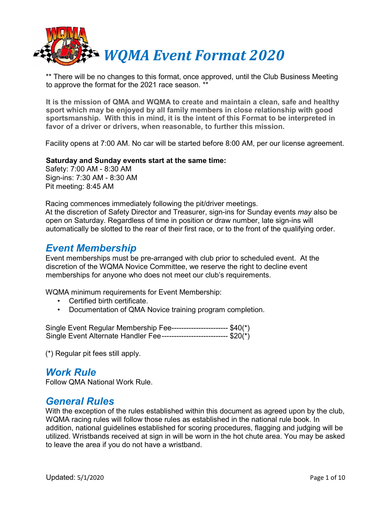

\*\* There will be no changes to this format, once approved, until the Club Business Meeting to approve the format for the 2021 race season. \*\*

**It is the mission of QMA and WQMA to create and maintain a clean, safe and healthy sport which may be enjoyed by all family members in close relationship with good sportsmanship. With this in mind, it is the intent of this Format to be interpreted in favor of a driver or drivers, when reasonable, to further this mission.**

Facility opens at 7:00 AM. No car will be started before 8:00 AM, per our license agreement.

#### **Saturday and Sunday events start at the same time:**

Safety: 7:00 AM - 8:30 AM Sign-ins: 7:30 AM - 8:30 AM Pit meeting: 8:45 AM

Racing commences immediately following the pit/driver meetings. At the discretion of Safety Director and Treasurer, sign-ins for Sunday events *may* also be open on Saturday. Regardless of time in position or draw number, late sign-ins will automatically be slotted to the rear of their first race, or to the front of the qualifying order.

#### *Event Membership*

Event memberships must be pre-arranged with club prior to scheduled event. At the discretion of the WQMA Novice Committee, we reserve the right to decline event memberships for anyone who does not meet our club's requirements.

WQMA minimum requirements for Event Membership:

- Certified birth certificate.
- Documentation of QMA Novice training program completion.

Single Event Regular Membership Fee----------------------- \$40(\*) Single Event Alternate Handler Fee --------------------------- \$20(\*)

(\*) Regular pit fees still apply.

#### *Work Rule*

Follow QMA National Work Rule.

#### *General Rules*

With the exception of the rules established within this document as agreed upon by the club, WQMA racing rules will follow those rules as established in the national rule book. In addition, national guidelines established for scoring procedures, flagging and judging will be utilized. Wristbands received at sign in will be worn in the hot chute area. You may be asked to leave the area if you do not have a wristband.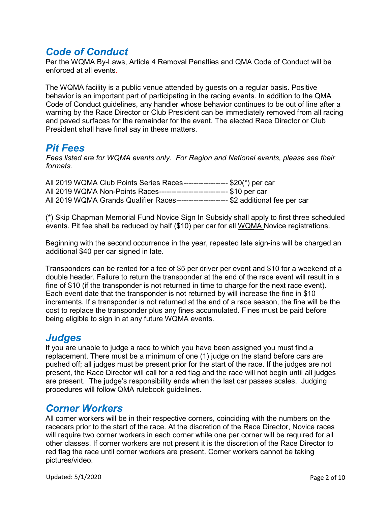#### *Code of Conduct*

Per the WQMA By-Laws, Article 4 Removal Penalties and QMA Code of Conduct will be enforced at all events.

The WQMA facility is a public venue attended by guests on a regular basis. Positive behavior is an important part of participating in the racing events. In addition to the QMA Code of Conduct guidelines, any handler whose behavior continues to be out of line after a warning by the Race Director or Club President can be immediately removed from all racing and paved surfaces for the remainder for the event. The elected Race Director or Club President shall have final say in these matters.

#### *Pit Fees*

*Fees listed are for WQMA events only. For Region and National events, please see their formats.* 

|  |  |                                                                          | All 2019 WQMA Club Points Series Races------------------- \$20(*) per car             |
|--|--|--------------------------------------------------------------------------|---------------------------------------------------------------------------------------|
|  |  | All 2019 WQMA Non-Points Races----------------------------- \$10 per car |                                                                                       |
|  |  |                                                                          | All 2019 WQMA Grands Qualifier Races---------------------- \$2 additional fee per car |

(\*) Skip Chapman Memorial Fund Novice Sign In Subsidy shall apply to first three scheduled events. Pit fee shall be reduced by half (\$10) per car for all WQMA Novice registrations.

Beginning with the second occurrence in the year, repeated late sign-ins will be charged an additional \$40 per car signed in late.

Transponders can be rented for a fee of \$5 per driver per event and \$10 for a weekend of a double header. Failure to return the transponder at the end of the race event will result in a fine of \$10 (if the transponder is not returned in time to charge for the next race event). Each event date that the transponder is not returned by will increase the fine in \$10 increments. If a transponder is not returned at the end of a race season, the fine will be the cost to replace the transponder plus any fines accumulated. Fines must be paid before being eligible to sign in at any future WQMA events.

#### *Judges*

If you are unable to judge a race to which you have been assigned you must find a replacement. There must be a minimum of one (1) judge on the stand before cars are pushed off; all judges must be present prior for the start of the race. If the judges are not present, the Race Director will call for a red flag and the race will not begin until all judges are present. The judge's responsibility ends when the last car passes scales. Judging procedures will follow QMA rulebook guidelines.

#### *Corner Workers*

All corner workers will be in their respective corners, coinciding with the numbers on the racecars prior to the start of the race. At the discretion of the Race Director, Novice races will require two corner workers in each corner while one per corner will be required for all other classes. If corner workers are not present it is the discretion of the Race Director to red flag the race until corner workers are present. Corner workers cannot be taking pictures/video.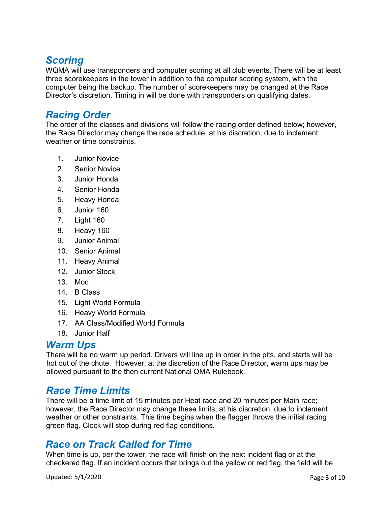# *Scoring*

WQMA will use transponders and computer scoring at all club events. There will be at least three scorekeepers in the tower in addition to the computer scoring system, with the computer being the backup. The number of scorekeepers may be changed at the Race Director's discretion. Timing in will be done with transponders on qualifying dates.

#### *Racing Order*

The order of the classes and divisions will follow the racing order defined below; however, the Race Director may change the race schedule, at his discretion, due to inclement weather or time constraints.

- 1. Junior Novice
- 2. Senior Novice
- 3. Junior Honda
- 4. Senior Honda
- 5. Heavy Honda
- 6. Junior 160
- 7. Light 160
- 8. Heavy 160
- 9. Junior Animal
- 10. Senior Animal
- 11. Heavy Animal
- 12. Junior Stock
- 13. Mod
- 14. B Class
- 15. Light World Formula
- 16. Heavy World Formula
- 17. AA Class/Modified World Formula
- 18. Junior Half

#### *Warm Ups*

There will be no warm up period. Drivers will line up in order in the pits, and starts will be hot out of the chute. However, at the discretion of the Race Director, warm ups may be allowed pursuant to the then current National QMA Rulebook.

#### *Race Time Limits*

There will be a time limit of 15 minutes per Heat race and 20 minutes per Main race; however, the Race Director may change these limits, at his discretion, due to inclement weather or other constraints. This time begins when the flagger throws the initial racing green flag. Clock will stop during red flag conditions.

#### *Race on Track Called for Time*

When time is up, per the tower, the race will finish on the next incident flag or at the checkered flag. If an incident occurs that brings out the yellow or red flag, the field will be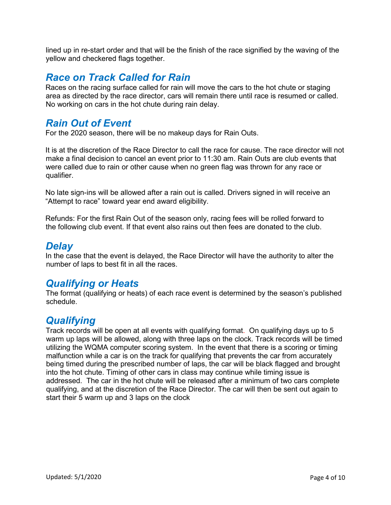lined up in re-start order and that will be the finish of the race signified by the waving of the yellow and checkered flags together.

### *Race on Track Called for Rain*

Races on the racing surface called for rain will move the cars to the hot chute or staging area as directed by the race director, cars will remain there until race is resumed or called. No working on cars in the hot chute during rain delay.

#### *Rain Out of Event*

For the 2020 season, there will be no makeup days for Rain Outs.

It is at the discretion of the Race Director to call the race for cause. The race director will not make a final decision to cancel an event prior to 11:30 am. Rain Outs are club events that were called due to rain or other cause when no green flag was thrown for any race or qualifier.

No late sign-ins will be allowed after a rain out is called. Drivers signed in will receive an "Attempt to race" toward year end award eligibility.

Refunds: For the first Rain Out of the season only, racing fees will be rolled forward to the following club event. If that event also rains out then fees are donated to the club.

#### *Delay*

In the case that the event is delayed, the Race Director will have the authority to alter the number of laps to best fit in all the races.

#### *Qualifying or Heats*

The format (qualifying or heats) of each race event is determined by the season's published schedule.

### *Qualifying*

Track records will be open at all events with qualifying format. On qualifying days up to 5 warm up laps will be allowed, along with three laps on the clock. Track records will be timed utilizing the WQMA computer scoring system. In the event that there is a scoring or timing malfunction while a car is on the track for qualifying that prevents the car from accurately being timed during the prescribed number of laps, the car will be black flagged and brought into the hot chute. Timing of other cars in class may continue while timing issue is addressed. The car in the hot chute will be released after a minimum of two cars complete qualifying, and at the discretion of the Race Director. The car will then be sent out again to start their 5 warm up and 3 laps on the clock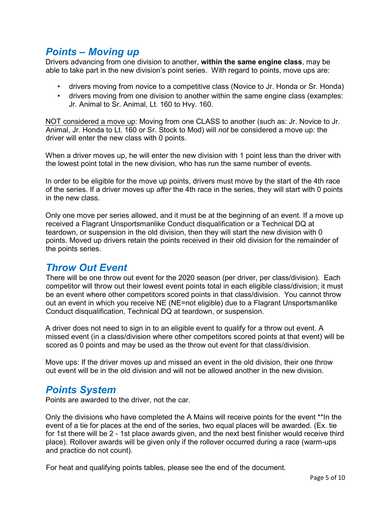### *Points – Moving up*

Drivers advancing from one division to another, **within the same engine class**, may be able to take part in the new division's point series. With regard to points, move ups are:

- drivers moving from novice to a competitive class (Novice to Jr. Honda or Sr. Honda)
- drivers moving from one division to another within the same engine class (examples: Jr. Animal to Sr. Animal, Lt. 160 to Hvy. 160.

NOT considered a move up: Moving from one CLASS to another (such as: Jr. Novice to Jr. Animal, Jr. Honda to Lt. 160 or Sr. Stock to Mod) will *not* be considered a move up: the driver will enter the new class with 0 points.

When a driver moves up, he will enter the new division with 1 point less than the driver with the lowest point total in the new division, who has run the same number of events.

In order to be eligible for the move up points, drivers must move by the start of the 4th race of the series. If a driver moves up *after* the 4th race in the series, they will start with 0 points in the new class.

Only one move per series allowed, and it must be at the beginning of an event. If a move up received a Flagrant Unsportsmanlike Conduct disqualification or a Technical DQ at teardown, or suspension in the old division, then they will start the new division with 0 points. Moved up drivers retain the points received in their old division for the remainder of the points series.

### *Throw Out Event*

There will be one throw out event for the 2020 season (per driver, per class/division). Each competitor will throw out their lowest event points total in each eligible class/division; it must be an event where other competitors scored points in that class/division. You cannot throw out an event in which you receive NE (NE=not eligible) due to a Flagrant Unsportsmanlike Conduct disqualification, Technical DQ at teardown, or suspension.

A driver does not need to sign in to an eligible event to qualify for a throw out event. A missed event (in a class/division where other competitors scored points at that event) will be scored as 0 points and may be used as the throw out event for that class/division.

Move ups: If the driver moves up and missed an event in the old division, their one throw out event will be in the old division and will not be allowed another in the new division.

#### *Points System*

Points are awarded to the driver, not the car.

Only the divisions who have completed the A Mains will receive points for the event \*\*In the event of a tie for places at the end of the series, two equal places will be awarded. (Ex. tie for 1st there will be 2 - 1st place awards given, and the next best finisher would receive third place). Rollover awards will be given only if the rollover occurred during a race (warm-ups and practice do not count).

For heat and qualifying points tables, please see the end of the document.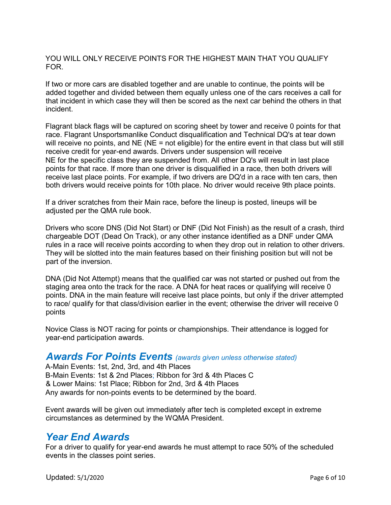YOU WILL ONLY RECEIVE POINTS FOR THE HIGHEST MAIN THAT YOU QUALIFY FOR.

If two or more cars are disabled together and are unable to continue, the points will be added together and divided between them equally unless one of the cars receives a call for that incident in which case they will then be scored as the next car behind the others in that incident.

Flagrant black flags will be captured on scoring sheet by tower and receive 0 points for that race. Flagrant Unsportsmanlike Conduct disqualification and Technical DQ's at tear down will receive no points, and NE (NE = not eligible) for the entire event in that class but will still receive credit for year-end awards. Drivers under suspension will receive NE for the specific class they are suspended from. All other DQ's will result in last place points for that race. If more than one driver is disqualified in a race, then both drivers will receive last place points. For example, if two drivers are DQ'd in a race with ten cars, then both drivers would receive points for 10th place. No driver would receive 9th place points.

If a driver scratches from their Main race, before the lineup is posted, lineups will be adjusted per the QMA rule book.

Drivers who score DNS (Did Not Start) or DNF (Did Not Finish) as the result of a crash, third chargeable DOT (Dead On Track), or any other instance identified as a DNF under QMA rules in a race will receive points according to when they drop out in relation to other drivers. They will be slotted into the main features based on their finishing position but will not be part of the inversion.

DNA (Did Not Attempt) means that the qualified car was not started or pushed out from the staging area onto the track for the race. A DNA for heat races or qualifying will receive 0 points. DNA in the main feature will receive last place points, but only if the driver attempted to race/ qualify for that class/division earlier in the event; otherwise the driver will receive 0 points

Novice Class is NOT racing for points or championships. Their attendance is logged for year-end participation awards.

#### *Awards For Points Events (awards given unless otherwise stated)*

A-Main Events: 1st, 2nd, 3rd, and 4th Places B-Main Events: 1st & 2nd Places; Ribbon for 3rd & 4th Places C & Lower Mains: 1st Place; Ribbon for 2nd, 3rd & 4th Places Any awards for non-points events to be determined by the board.

Event awards will be given out immediately after tech is completed except in extreme circumstances as determined by the WQMA President.

#### *Year End Awards*

For a driver to qualify for year-end awards he must attempt to race 50% of the scheduled events in the classes point series.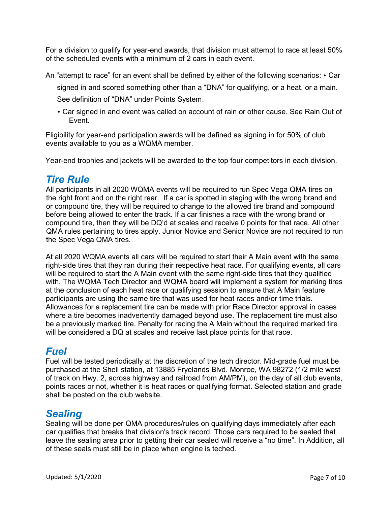For a division to qualify for year-end awards, that division must attempt to race at least 50% of the scheduled events with a minimum of 2 cars in each event.

An "attempt to race" for an event shall be defined by either of the following scenarios: • Car

signed in and scored something other than a "DNA" for qualifying, or a heat, or a main.

See definition of "DNA" under Points System.

• Car signed in and event was called on account of rain or other cause. See Rain Out of Event.

Eligibility for year-end participation awards will be defined as signing in for 50% of club events available to you as a WQMA member.

Year-end trophies and jackets will be awarded to the top four competitors in each division.

#### *Tire Rule*

All participants in all 2020 WQMA events will be required to run Spec Vega QMA tires on the right front and on the right rear. If a car is spotted in staging with the wrong brand and or compound tire, they will be required to change to the allowed tire brand and compound before being allowed to enter the track. If a car finishes a race with the wrong brand or compound tire, then they will be DQ'd at scales and receive 0 points for that race. All other QMA rules pertaining to tires apply. Junior Novice and Senior Novice are not required to run the Spec Vega QMA tires.

At all 2020 WQMA events all cars will be required to start their A Main event with the same right-side tires that they ran during their respective heat race. For qualifying events, all cars will be required to start the A Main event with the same right-side tires that they qualified with. The WQMA Tech Director and WQMA board will implement a system for marking tires at the conclusion of each heat race or qualifying session to ensure that A Main feature participants are using the same tire that was used for heat races and/or time trials. Allowances for a replacement tire can be made with prior Race Director approval in cases where a tire becomes inadvertently damaged beyond use. The replacement tire must also be a previously marked tire. Penalty for racing the A Main without the required marked tire will be considered a DQ at scales and receive last place points for that race.

### *Fuel*

Fuel will be tested periodically at the discretion of the tech director. Mid-grade fuel must be purchased at the Shell station, at 13885 Fryelands Blvd. Monroe, WA 98272 (1/2 mile west of track on Hwy. 2, across highway and railroad from AM/PM), on the day of all club events, points races or not, whether it is heat races or qualifying format. Selected station and grade shall be posted on the club website.

### *Sealing*

Sealing will be done per QMA procedures/rules on qualifying days immediately after each car qualifies that breaks that division's track record. Those cars required to be sealed that leave the sealing area prior to getting their car sealed will receive a "no time". In Addition, all of these seals must still be in place when engine is teched.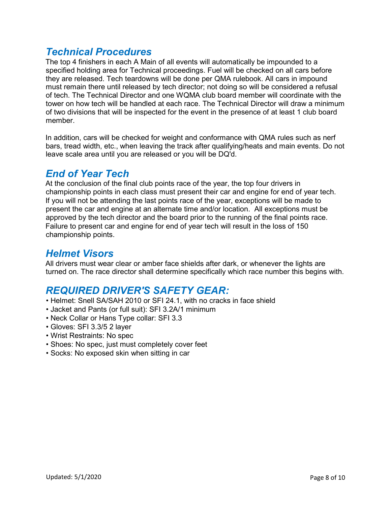### *Technical Procedures*

The top 4 finishers in each A Main of all events will automatically be impounded to a specified holding area for Technical proceedings. Fuel will be checked on all cars before they are released. Tech teardowns will be done per QMA rulebook. All cars in impound must remain there until released by tech director; not doing so will be considered a refusal of tech. The Technical Director and one WQMA club board member will coordinate with the tower on how tech will be handled at each race. The Technical Director will draw a minimum of two divisions that will be inspected for the event in the presence of at least 1 club board member.

In addition, cars will be checked for weight and conformance with QMA rules such as nerf bars, tread width, etc., when leaving the track after qualifying/heats and main events. Do not leave scale area until you are released or you will be DQ'd.

# *End of Year Tech*

At the conclusion of the final club points race of the year, the top four drivers in championship points in each class must present their car and engine for end of year tech. If you will not be attending the last points race of the year, exceptions will be made to present the car and engine at an alternate time and/or location. All exceptions must be approved by the tech director and the board prior to the running of the final points race. Failure to present car and engine for end of year tech will result in the loss of 150 championship points.

### *Helmet Visors*

All drivers must wear clear or amber face shields after dark, or whenever the lights are turned on. The race director shall determine specifically which race number this begins with.

# *REQUIRED DRIVER'S SAFETY GEAR:*

- Helmet: Snell SA/SAH 2010 or SFI 24.1, with no cracks in face shield
- Jacket and Pants (or full suit): SFI 3.2A/1 minimum
- Neck Collar or Hans Type collar: SFI 3.3
- Gloves: SFI 3.3/5 2 layer
- Wrist Restraints: No spec
- Shoes: No spec, just must completely cover feet
- Socks: No exposed skin when sitting in car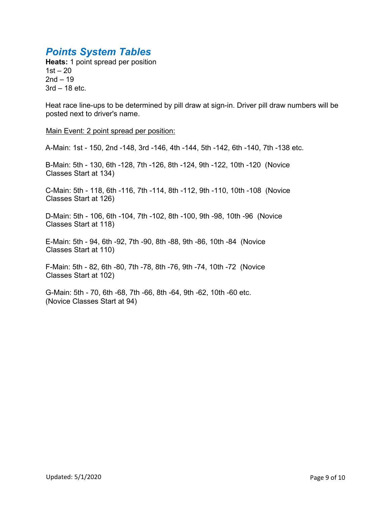# *Points System Tables*

**Heats:** 1 point spread per position  $1st - 20$  $2nd - 19$ 3rd – 18 etc.

Heat race line-ups to be determined by pill draw at sign-in. Driver pill draw numbers will be posted next to driver's name.

Main Event: 2 point spread per position:

A-Main: 1st - 150, 2nd -148, 3rd -146, 4th -144, 5th -142, 6th -140, 7th -138 etc.

B-Main: 5th - 130, 6th -128, 7th -126, 8th -124, 9th -122, 10th -120 (Novice Classes Start at 134)

C-Main: 5th - 118, 6th -116, 7th -114, 8th -112, 9th -110, 10th -108 (Novice Classes Start at 126)

D-Main: 5th - 106, 6th -104, 7th -102, 8th -100, 9th -98, 10th -96 (Novice Classes Start at 118)

E-Main: 5th - 94, 6th -92, 7th -90, 8th -88, 9th -86, 10th -84 (Novice Classes Start at 110)

F-Main: 5th - 82, 6th -80, 7th -78, 8th -76, 9th -74, 10th -72 (Novice Classes Start at 102)

G-Main: 5th - 70, 6th -68, 7th -66, 8th -64, 9th -62, 10th -60 etc. (Novice Classes Start at 94)